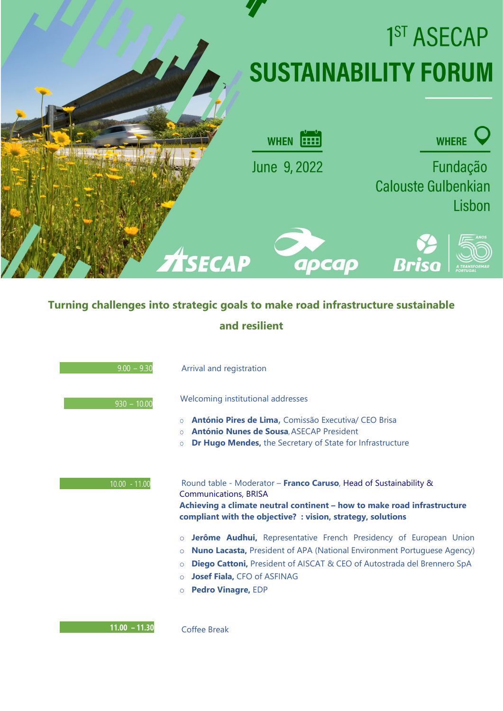

## **Turning challenges into strategic goals to make road infrastructure sustainable and resilient**

| $\overline{)9.00} - 9.30$ | Arrival and registration                                                                                                                                                                                                                                                                                                                                                                                                                                                                                                                                                   |
|---------------------------|----------------------------------------------------------------------------------------------------------------------------------------------------------------------------------------------------------------------------------------------------------------------------------------------------------------------------------------------------------------------------------------------------------------------------------------------------------------------------------------------------------------------------------------------------------------------------|
| $930 - 10.00$             | Welcoming institutional addresses<br>António Pires de Lima, Comissão Executiva/ CEO Brisa<br>$\Omega$<br><b>António Nunes de Sousa, ASECAP President</b><br>$\Omega$<br><b>Dr Hugo Mendes, the Secretary of State for Infrastructure</b><br>$\circ$                                                                                                                                                                                                                                                                                                                        |
| $10.00 - 11.00$           | Round table - Moderator - Franco Caruso, Head of Sustainability &<br><b>Communications, BRISA</b><br>Achieving a climate neutral continent - how to make road infrastructure<br>compliant with the objective? : vision, strategy, solutions<br>Jerôme Audhui, Representative French Presidency of European Union<br>$\circ$<br><b>Nuno Lacasta, President of APA (National Environment Portuguese Agency)</b><br>$\circ$<br><b>Diego Cattoni, President of AISCAT &amp; CEO of Autostrada del Brennero SpA</b><br>$\circ$<br><b>Josef Fiala, CFO of ASFINAG</b><br>$\circ$ |
|                           | <b>Pedro Vinagre, EDP</b><br>$\circ$                                                                                                                                                                                                                                                                                                                                                                                                                                                                                                                                       |

**11.00 – 11.30** Coffee Break